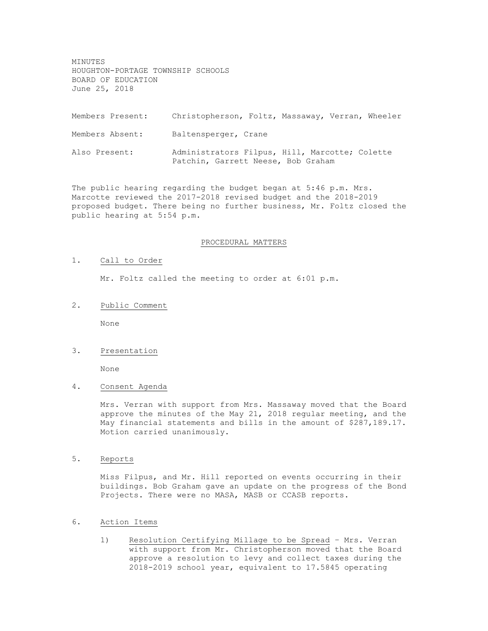MINUTES HOUGHTON-PORTAGE TOWNSHIP SCHOOLS BOARD OF EDUCATION June 25, 2018

Members Present: Christopherson, Foltz, Massaway, Verran, Wheeler Members Absent: Baltensperger, Crane Also Present: Administrators Filpus, Hill, Marcotte; Colette Patchin, Garrett Neese, Bob Graham

The public hearing regarding the budget began at 5:46 p.m. Mrs. Marcotte reviewed the 2017-2018 revised budget and the 2018-2019 proposed budget. There being no further business, Mr. Foltz closed the public hearing at 5:54 p.m.

#### PROCEDURAL MATTERS

#### 1. Call to Order

Mr. Foltz called the meeting to order at 6:01 p.m.

2. Public Comment

None

## 3. Presentation

None

4. Consent Agenda

Mrs. Verran with support from Mrs. Massaway moved that the Board approve the minutes of the May 21, 2018 regular meeting, and the May financial statements and bills in the amount of \$287,189.17. Motion carried unanimously.

5. Reports

Miss Filpus, and Mr. Hill reported on events occurring in their buildings. Bob Graham gave an update on the progress of the Bond Projects. There were no MASA, MASB or CCASB reports.

- 6. Action Items
	- 1) Resolution Certifying Millage to be Spread Mrs. Verran with support from Mr. Christopherson moved that the Board approve a resolution to levy and collect taxes during the 2018-2019 school year, equivalent to 17.5845 operating